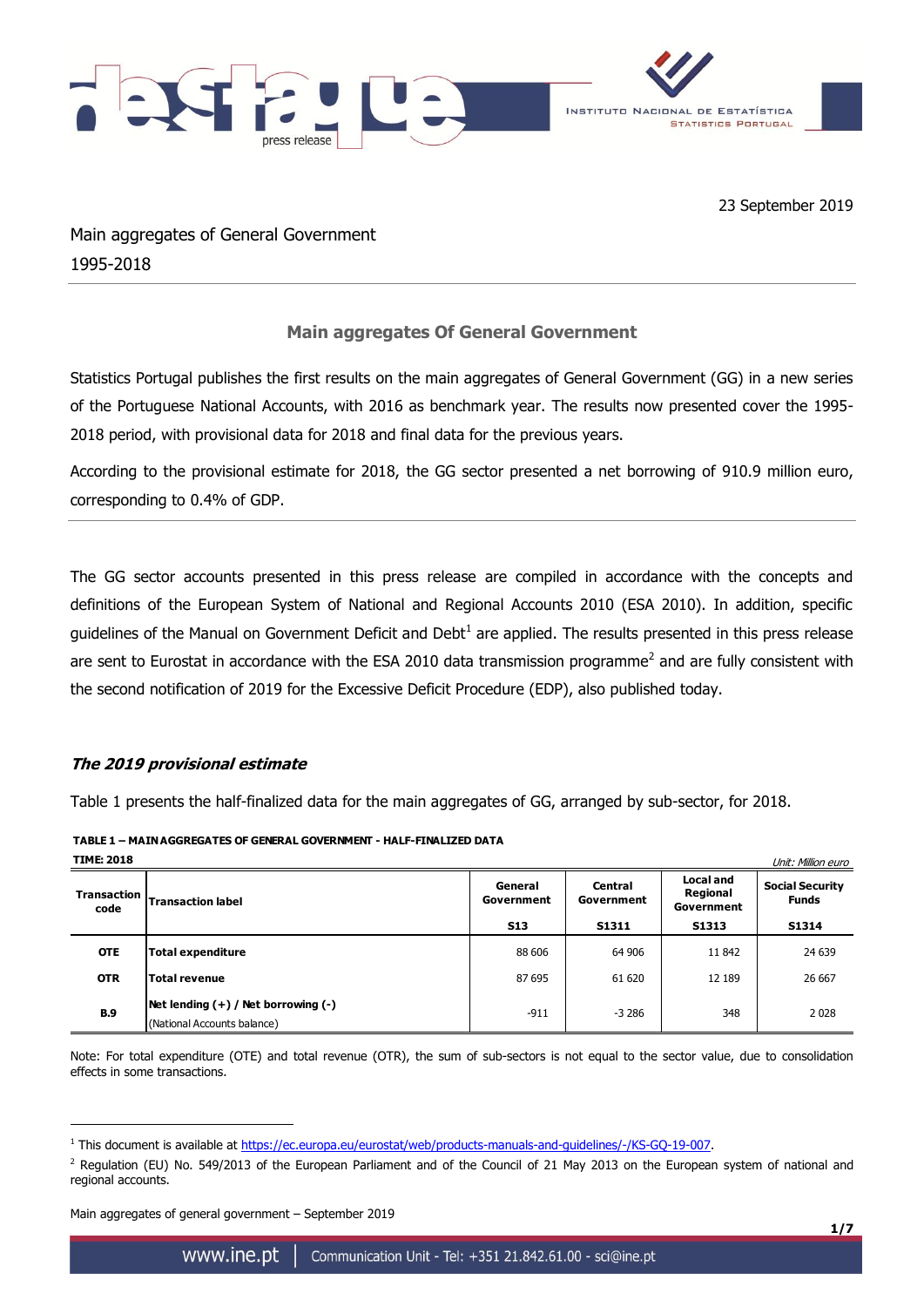

Main aggregates of General Government 1995-2018

## **Main aggregates Of General Government**

Statistics Portugal publishes the first results on the main aggregates of General Government (GG) in a new series of the Portuguese National Accounts, with 2016 as benchmark year. The results now presented cover the 1995- 2018 period, with provisional data for 2018 and final data for the previous years.

According to the provisional estimate for 2018, the GG sector presented a net borrowing of 910.9 million euro, corresponding to 0.4% of GDP.

The GG sector accounts presented in this press release are compiled in accordance with the concepts and definitions of the European System of National and Regional Accounts 2010 (ESA 2010). In addition, specific guidelines of the Manual on Government Deficit and Debt<sup>1</sup> are applied. The results presented in this press release are sent to Eurostat in accordance with the ESA 2010 data transmission programme<sup>2</sup> and are fully consistent with the second notification of 2019 for the Excessive Deficit Procedure (EDP), also published today.

## **The 2019 provisional estimate**

Table 1 presents the half-finalized data for the main aggregates of GG, arranged by sub-sector, for 2018.

**TABLE 1 – MAIN AGGREGATES OF GENERAL GOVERNMENT - HALF-FINALIZED DATA**

| <b>TIME: 2018</b>          |                                                                      |                       |                       | Unit: Million euro                  |                                        |
|----------------------------|----------------------------------------------------------------------|-----------------------|-----------------------|-------------------------------------|----------------------------------------|
| <b>Transaction</b><br>code | <b>Transaction label</b>                                             | General<br>Government | Central<br>Government | Local and<br>Regional<br>Government | <b>Social Security</b><br><b>Funds</b> |
|                            |                                                                      | <b>S13</b>            | <b>S1311</b>          | <b>S1313</b>                        | <b>S1314</b>                           |
| <b>OTE</b>                 | <b>Total expenditure</b>                                             | 88 606                | 64 906                | 11842                               | 24 639                                 |
| <b>OTR</b>                 | Total revenue                                                        | 87 695                | 61 620                | 12 189                              | 26 667                                 |
| <b>B.9</b>                 | $Net lending (+) / Net borrowing (-)$<br>(National Accounts balance) | $-911$                | $-3286$               | 348                                 | 2028                                   |

Note: For total expenditure (OTE) and total revenue (OTR), the sum of sub-sectors is not equal to the sector value, due to consolidation effects in some transactions.

Main aggregates of general government – September 2019

1

<sup>&</sup>lt;sup>1</sup> This document is available at [https://ec.europa.eu/eurostat/web/products-manuals-and-guidelines/-/KS-GQ-19-007.](https://ec.europa.eu/eurostat/web/products-manuals-and-guidelines/-/KS-GQ-19-007)

 $^2$  Regulation (EU) No. 549/2013 of the European Parliament and of the Council of 21 May 2013 on the European system of national and regional accounts.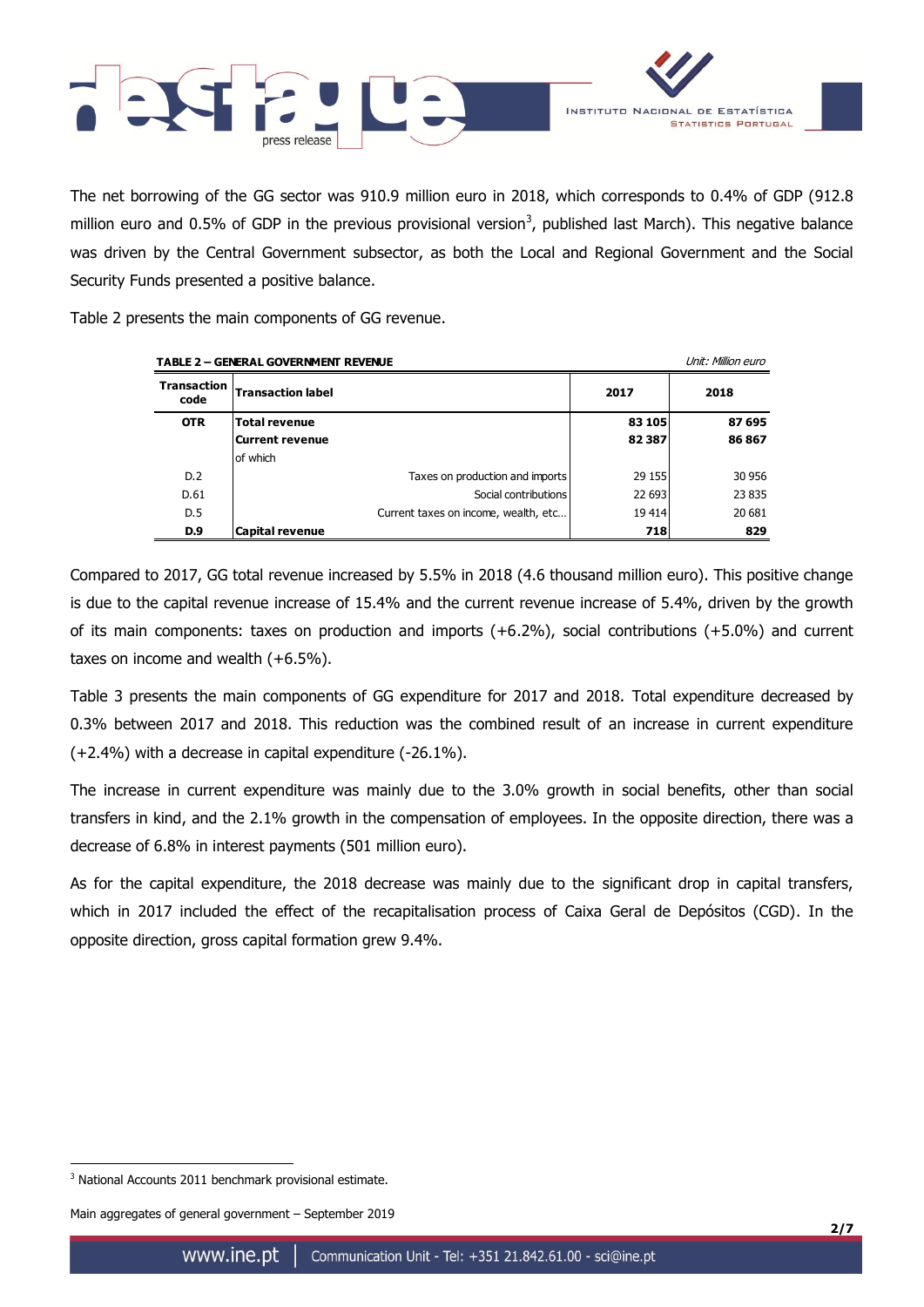

The net borrowing of the GG sector was 910.9 million euro in 2018, which corresponds to 0.4% of GDP (912.8 million euro and 0.5% of GDP in the previous provisional version<sup>3</sup>, published last March). This negative balance was driven by the Central Government subsector, as both the Local and Regional Government and the Social Security Funds presented a positive balance.

Table 2 presents the main components of GG revenue.

| <b>TABLE 2 - GENERAL GOVERNMENT REVENUE</b> |                                      | Unit: Million euro |        |
|---------------------------------------------|--------------------------------------|--------------------|--------|
| Transaction<br>code                         | <b>Transaction label</b>             | 2017               | 2018   |
| <b>OTR</b>                                  | <b>Total revenue</b>                 | 83 105             | 87 695 |
|                                             | Current revenue                      | 82387              | 86867  |
|                                             | lof which                            |                    |        |
| D.2                                         | Taxes on production and imports      | 29 155             | 30 956 |
| D.61                                        | Social contributions                 | 22 693             | 23 835 |
| D.5                                         | Current taxes on income, wealth, etc | 19414              | 20 681 |
| D.9                                         | Capital revenue                      | 718                | 829    |

Compared to 2017, GG total revenue increased by 5.5% in 2018 (4.6 thousand million euro). This positive change is due to the capital revenue increase of 15.4% and the current revenue increase of 5.4%, driven by the growth of its main components: taxes on production and imports (+6.2%), social contributions (+5.0%) and current taxes on income and wealth (+6.5%).

Table 3 presents the main components of GG expenditure for 2017 and 2018. Total expenditure decreased by 0.3% between 2017 and 2018. This reduction was the combined result of an increase in current expenditure (+2.4%) with a decrease in capital expenditure (-26.1%).

The increase in current expenditure was mainly due to the 3.0% growth in social benefits, other than social transfers in kind, and the 2.1% growth in the compensation of employees. In the opposite direction, there was a decrease of 6.8% in interest payments (501 million euro).

As for the capital expenditure, the 2018 decrease was mainly due to the significant drop in capital transfers, which in 2017 included the effect of the recapitalisation process of Caixa Geral de Depósitos (CGD). In the opposite direction, gross capital formation grew 9.4%.

<u>.</u>

<sup>&</sup>lt;sup>3</sup> National Accounts 2011 benchmark provisional estimate.

Main aggregates of general government – September 2019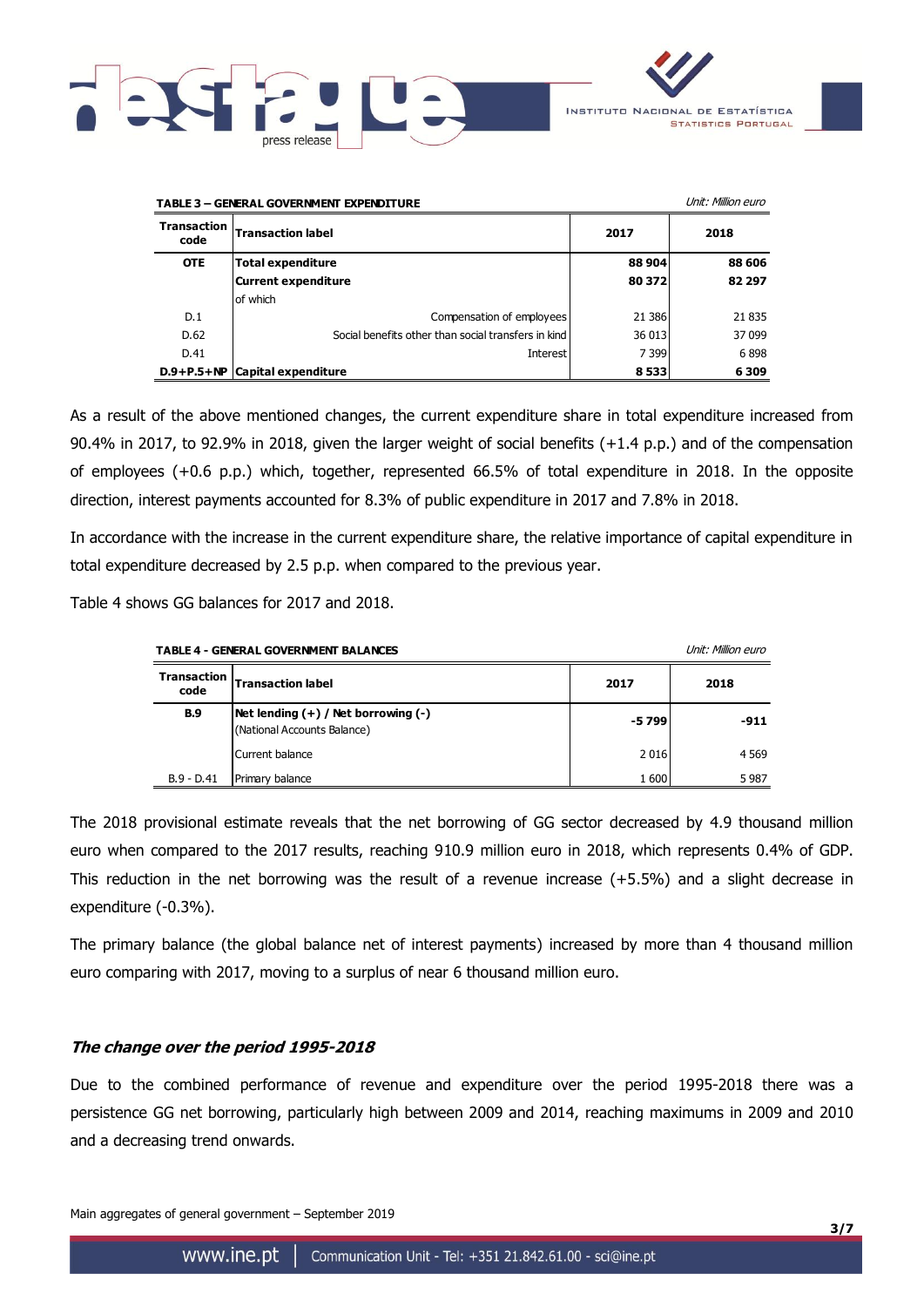



| <b>TABLE 3 - GENERAL GOVERNMENT EXPENDITURE</b> |                                                     |         | Unit: Million euro |
|-------------------------------------------------|-----------------------------------------------------|---------|--------------------|
| <b>Transaction</b><br>code                      | <b>Transaction label</b>                            | 2017    | 2018               |
| <b>OTE</b>                                      | Total expenditure                                   | 88 904  | 88 606             |
|                                                 | Current expenditure                                 | 80 372  | 82 297             |
|                                                 | of which                                            |         |                    |
| D.1                                             | Compensation of employees                           | 21 38 6 | 21835              |
| D.62                                            | Social benefits other than social transfers in kind | 36 013  | 37 099             |
| D.41                                            | Interest                                            | 7 3 9 9 | 6898               |
|                                                 | $D.9+P.5+NP$ Capital expenditure                    | 8533    | 6309               |

As a result of the above mentioned changes, the current expenditure share in total expenditure increased from 90.4% in 2017, to 92.9% in 2018, given the larger weight of social benefits (+1.4 p.p.) and of the compensation of employees (+0.6 p.p.) which, together, represented 66.5% of total expenditure in 2018. In the opposite direction, interest payments accounted for 8.3% of public expenditure in 2017 and 7.8% in 2018.

In accordance with the increase in the current expenditure share, the relative importance of capital expenditure in total expenditure decreased by 2.5 p.p. when compared to the previous year.

Table 4 shows GG balances for 2017 and 2018.

| <b>TABLE 4 - GENERAL GOVERNMENT BALANCES</b> |                                                                          |       | Unit: Million euro |
|----------------------------------------------|--------------------------------------------------------------------------|-------|--------------------|
| <b>Transaction</b><br>code                   | <b>Transaction label</b>                                                 | 2017  | 2018               |
| <b>B.9</b>                                   | $Net$ lending $(+)$ / Net borrowing $(-)$<br>(National Accounts Balance) | -5799 | -911               |
|                                              | Current balance                                                          | 2016  | 4 5 6 9            |
| $B.9 - D.41$                                 | Primary balance                                                          | 1600  | 5987               |

The 2018 provisional estimate reveals that the net borrowing of GG sector decreased by 4.9 thousand million euro when compared to the 2017 results, reaching 910.9 million euro in 2018, which represents 0.4% of GDP. This reduction in the net borrowing was the result of a revenue increase (+5.5%) and a slight decrease in expenditure (-0.3%).

The primary balance (the global balance net of interest payments) increased by more than 4 thousand million euro comparing with 2017, moving to a surplus of near 6 thousand million euro.

## **The change over the period 1995-2018**

Due to the combined performance of revenue and expenditure over the period 1995-2018 there was a persistence GG net borrowing, particularly high between 2009 and 2014, reaching maximums in 2009 and 2010 and a decreasing trend onwards.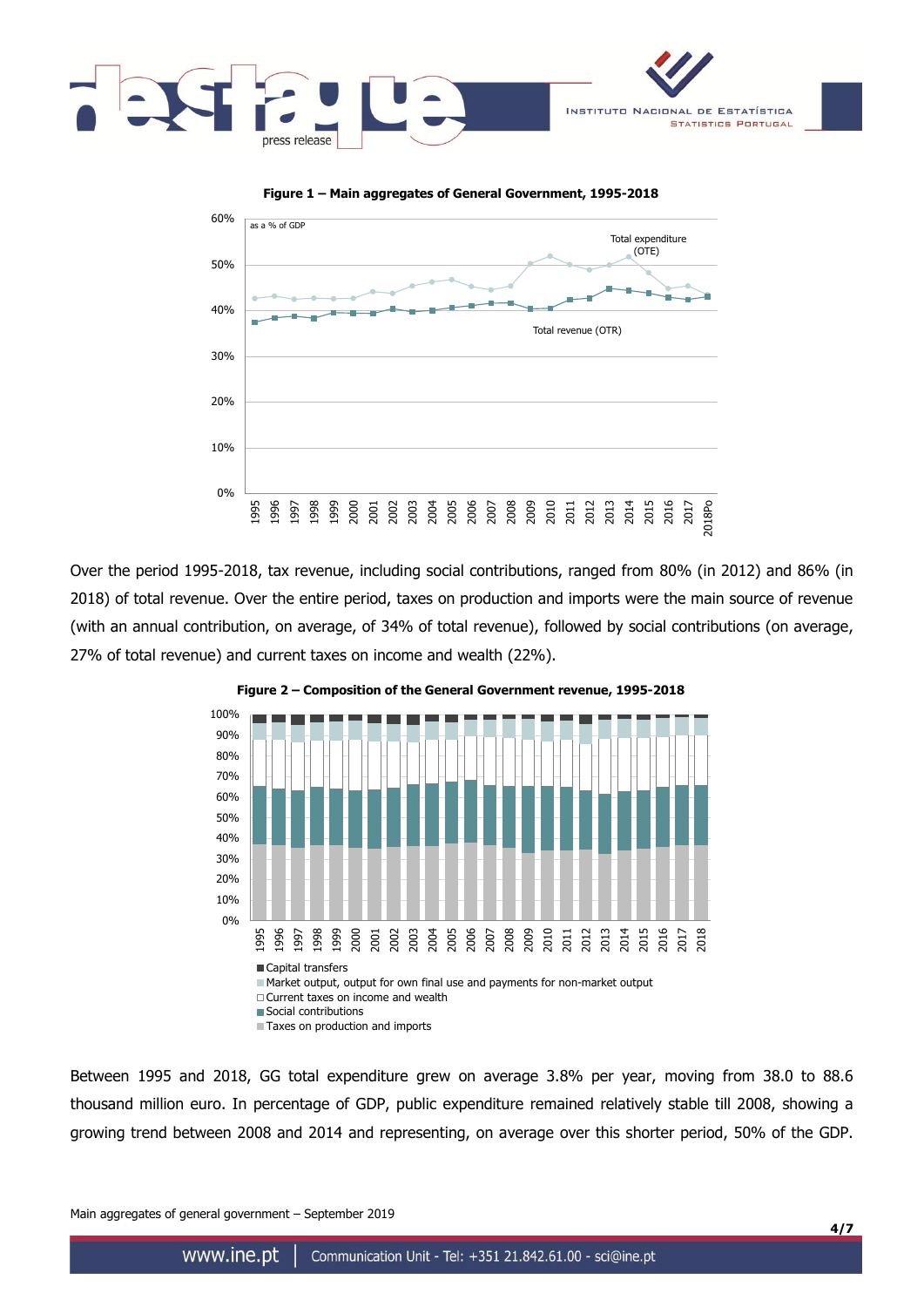



Over the period 1995-2018, tax revenue, including social contributions, ranged from 80% (in 2012) and 86% (in 2018) of total revenue. Over the entire period, taxes on production and imports were the main source of revenue (with an annual contribution, on average, of 34% of total revenue), followed by social contributions (on average, 27% of total revenue) and current taxes on income and wealth (22%).





Between 1995 and 2018, GG total expenditure grew on average 3.8% per year, moving from 38.0 to 88.6 thousand million euro. In percentage of GDP, public expenditure remained relatively stable till 2008, showing a growing trend between 2008 and 2014 and representing, on average over this shorter period, 50% of the GDP.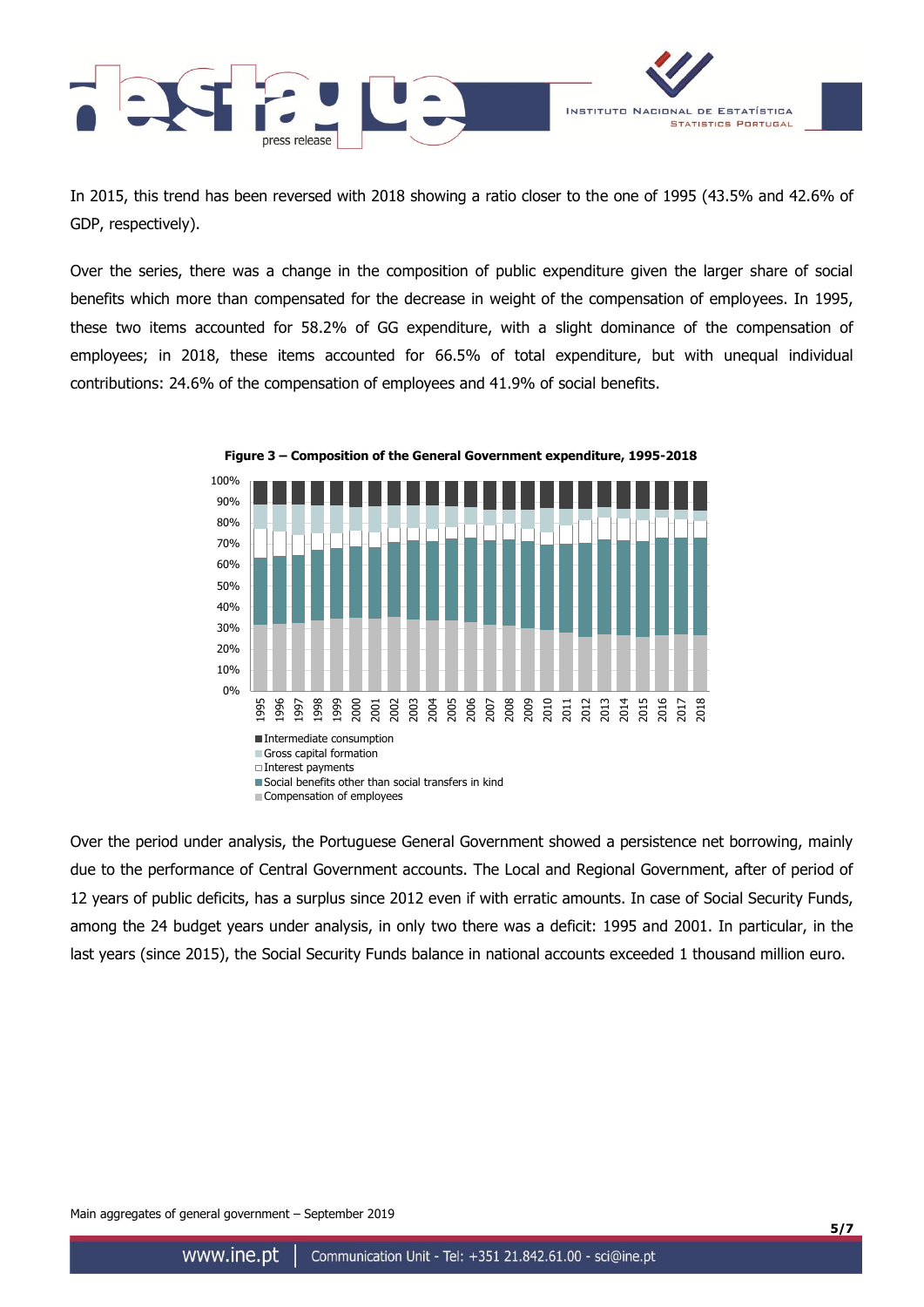

In 2015, this trend has been reversed with 2018 showing a ratio closer to the one of 1995 (43.5% and 42.6% of GDP, respectively).

Over the series, there was a change in the composition of public expenditure given the larger share of social benefits which more than compensated for the decrease in weight of the compensation of employees. In 1995, these two items accounted for 58.2% of GG expenditure, with a slight dominance of the compensation of employees; in 2018, these items accounted for 66.5% of total expenditure, but with unequal individual contributions: 24.6% of the compensation of employees and 41.9% of social benefits.



**Figure 3 – Composition of the General Government expenditure, 1995-2018**

Over the period under analysis, the Portuguese General Government showed a persistence net borrowing, mainly due to the performance of Central Government accounts. The Local and Regional Government, after of period of 12 years of public deficits, has a surplus since 2012 even if with erratic amounts. In case of Social Security Funds, among the 24 budget years under analysis, in only two there was a deficit: 1995 and 2001. In particular, in the last years (since 2015), the Social Security Funds balance in national accounts exceeded 1 thousand million euro.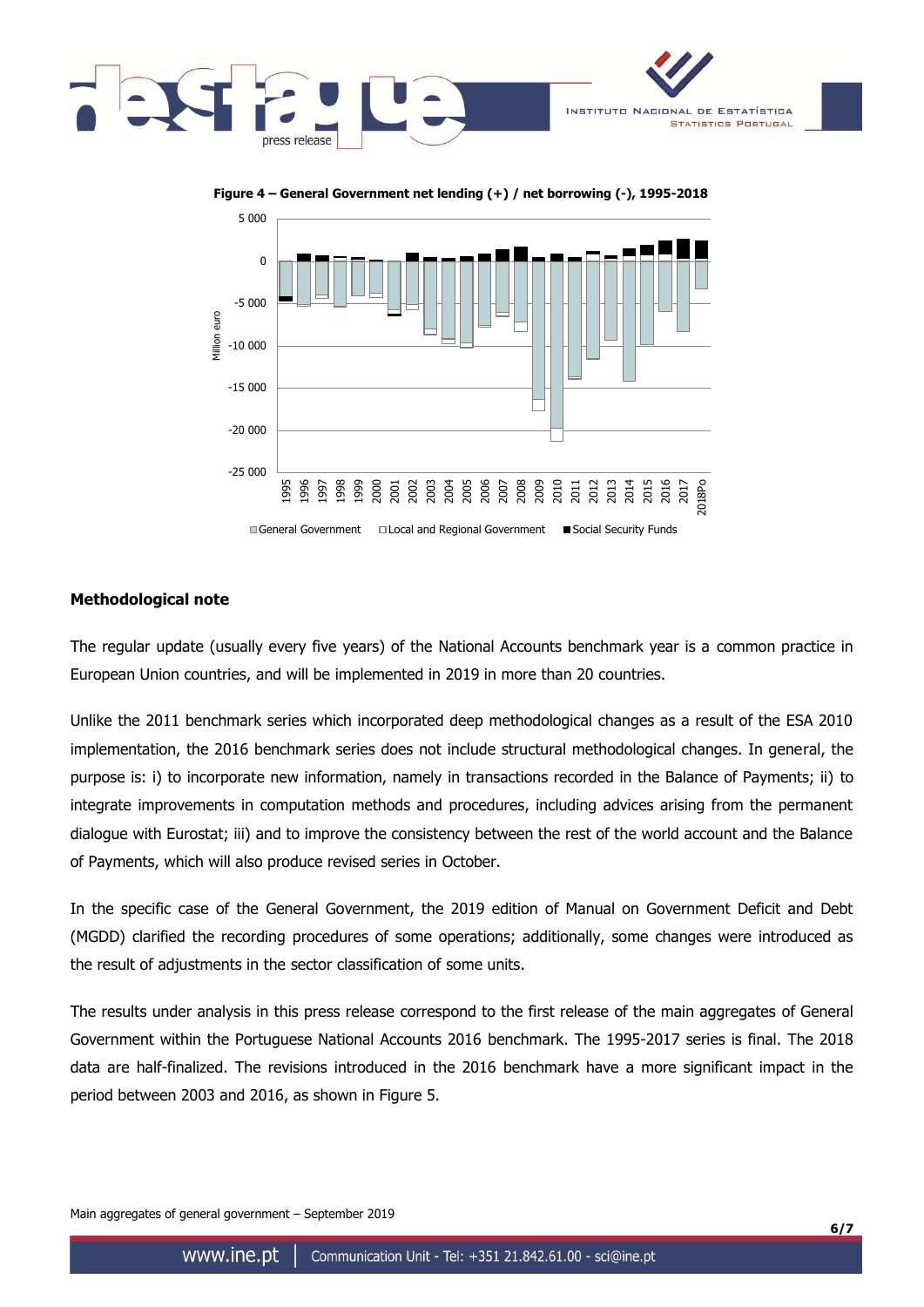





## **Methodological note**

The regular update (usually every five years) of the National Accounts benchmark year is a common practice in European Union countries, and will be implemented in 2019 in more than 20 countries.

Unlike the 2011 benchmark series which incorporated deep methodological changes as a result of the ESA 2010 implementation, the 2016 benchmark series does not include structural methodological changes. In general, the purpose is: i) to incorporate new information, namely in transactions recorded in the Balance of Payments; ii) to integrate improvements in computation methods and procedures, including advices arising from the permanent dialogue with Eurostat; iii) and to improve the consistency between the rest of the world account and the Balance of Payments, which will also produce revised series in October.

In the specific case of the General Government, the 2019 edition of Manual on Government Deficit and Debt (MGDD) clarified the recording procedures of some operations; additionally, some changes were introduced as the result of adjustments in the sector classification of some units.

The results under analysis in this press release correspond to the first release of the main aggregates of General Government within the Portuguese National Accounts 2016 benchmark. The 1995-2017 series is final. The 2018 data are half-finalized. The revisions introduced in the 2016 benchmark have a more significant impact in the period between 2003 and 2016, as shown in Figure 5.